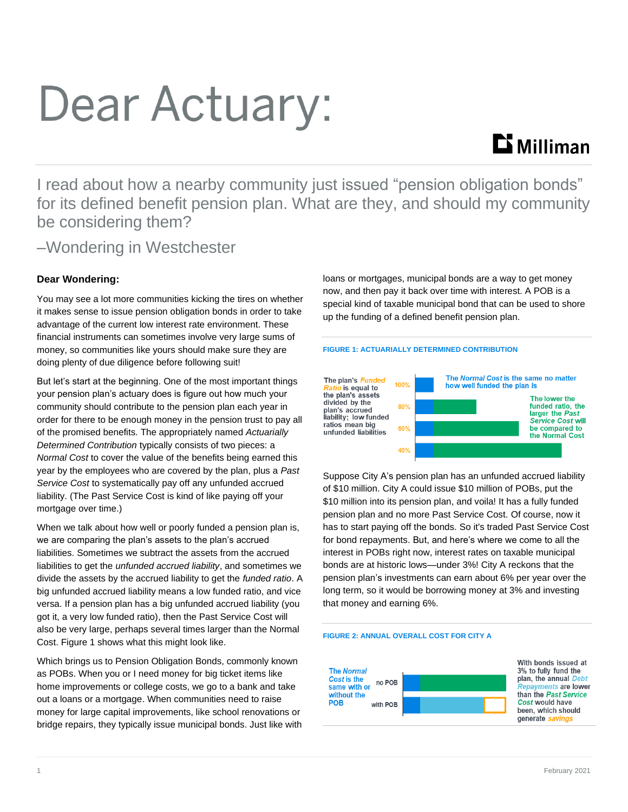# Dear Actuary:

## $\mathbf{D}$  Milliman

I read about how a nearby community just issued "pension obligation bonds" for its defined benefit pension plan. What are they, and should my community be considering them?

### –Wondering in Westchester

#### **Dear Wondering:**

You may see a lot more communities kicking the tires on whether it makes sense to issue pension obligation bonds in order to take advantage of the current low interest rate environment. These financial instruments can sometimes involve very large sums of money, so communities like yours should make sure they are doing plenty of due diligence before following suit!

But let's start at the beginning. One of the most important things your pension plan's actuary does is figure out how much your community should contribute to the pension plan each year in order for there to be enough money in the pension trust to pay all of the promised benefits. The appropriately named *Actuarially Determined Contribution* typically consists of two pieces: a *Normal Cost* to cover the value of the benefits being earned this year by the employees who are covered by the plan, plus a *Past Service Cost* to systematically pay off any unfunded accrued liability. (The Past Service Cost is kind of like paying off your mortgage over time.)

When we talk about how well or poorly funded a pension plan is, we are comparing the plan's assets to the plan's accrued liabilities. Sometimes we subtract the assets from the accrued liabilities to get the *unfunded accrued liability*, and sometimes we divide the assets by the accrued liability to get the *funded ratio*. A big unfunded accrued liability means a low funded ratio, and vice versa. If a pension plan has a big unfunded accrued liability (you got it, a very low funded ratio), then the Past Service Cost will also be very large, perhaps several times larger than the Normal Cost. Figure 1 shows what this might look like.

Which brings us to Pension Obligation Bonds, commonly known as POBs. When you or I need money for big ticket items like home improvements or college costs, we go to a bank and take out a loans or a mortgage. When communities need to raise money for large capital improvements, like school renovations or bridge repairs, they typically issue municipal bonds. Just like with loans or mortgages, municipal bonds are a way to get money now, and then pay it back over time with interest. A POB is a special kind of taxable municipal bond that can be used to shore up the funding of a defined benefit pension plan.

#### **FIGURE 1: ACTUARIALLY DETERMINED CONTRIBUTION**



Suppose City A's pension plan has an unfunded accrued liability of \$10 million. City A could issue \$10 million of POBs, put the \$10 million into its pension plan, and voila! It has a fully funded pension plan and no more Past Service Cost. Of course, now it has to start paying off the bonds. So it's traded Past Service Cost for bond repayments. But, and here's where we come to all the interest in POBs right now, interest rates on taxable municipal bonds are at historic lows—under 3%! City A reckons that the pension plan's investments can earn about 6% per year over the long term, so it would be borrowing money at 3% and investing that money and earning 6%.

#### **FIGURE 2: ANNUAL OVERALL COST FOR CITY A**



With bonds issued at 3% to fully fund the plan, the annual Debt **Renayments are lower** than the Past Service Cost would have been, which should generate savings